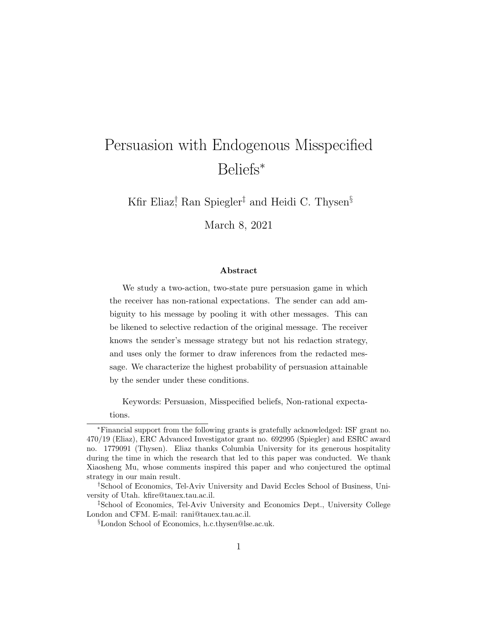# Persuasion with Endogenous Misspecified Beliefs<sup>∗</sup>

Kfir Eliaz<sup>†</sup> Ran Spiegler<sup>‡</sup> and Heidi C. Thysen<sup>§</sup>

March 8, 2021

#### Abstract

We study a two-action, two-state pure persuasion game in which the receiver has non-rational expectations. The sender can add ambiguity to his message by pooling it with other messages. This can be likened to selective redaction of the original message. The receiver knows the sender's message strategy but not his redaction strategy, and uses only the former to draw inferences from the redacted message. We characterize the highest probability of persuasion attainable by the sender under these conditions.

Keywords: Persuasion, Misspecified beliefs, Non-rational expecta-

tions.

<sup>∗</sup>Financial support from the following grants is gratefully acknowledged: ISF grant no. 470/19 (Eliaz), ERC Advanced Investigator grant no. 692995 (Spiegler) and ESRC award no. 1779091 (Thysen). Eliaz thanks Columbia University for its generous hospitality during the time in which the research that led to this paper was conducted. We thank Xiaosheng Mu, whose comments inspired this paper and who conjectured the optimal strategy in our main result.

<sup>†</sup>School of Economics, Tel-Aviv University and David Eccles School of Business, University of Utah. kfire@tauex.tau.ac.il.

<sup>‡</sup>School of Economics, Tel-Aviv University and Economics Dept., University College London and CFM. E-mail: rani@tauex.tau.ac.il.

<sup>§</sup>London School of Economics, h.c.thysen@lse.ac.uk.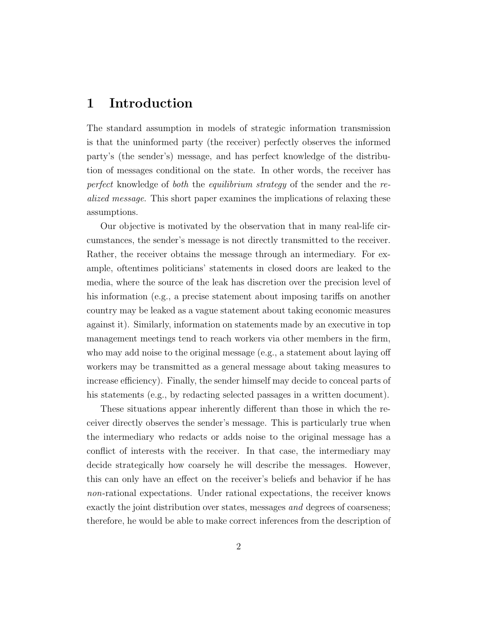### 1 Introduction

The standard assumption in models of strategic information transmission is that the uninformed party (the receiver) perfectly observes the informed party's (the sender's) message, and has perfect knowledge of the distribution of messages conditional on the state. In other words, the receiver has perfect knowledge of both the equilibrium strategy of the sender and the realized message. This short paper examines the implications of relaxing these assumptions.

Our objective is motivated by the observation that in many real-life circumstances, the sender's message is not directly transmitted to the receiver. Rather, the receiver obtains the message through an intermediary. For example, oftentimes politicians' statements in closed doors are leaked to the media, where the source of the leak has discretion over the precision level of his information (e.g., a precise statement about imposing tariffs on another country may be leaked as a vague statement about taking economic measures against it). Similarly, information on statements made by an executive in top management meetings tend to reach workers via other members in the firm, who may add noise to the original message (e.g., a statement about laying off workers may be transmitted as a general message about taking measures to increase efficiency). Finally, the sender himself may decide to conceal parts of his statements (e.g., by redacting selected passages in a written document).

These situations appear inherently different than those in which the receiver directly observes the sender's message. This is particularly true when the intermediary who redacts or adds noise to the original message has a conflict of interests with the receiver. In that case, the intermediary may decide strategically how coarsely he will describe the messages. However, this can only have an effect on the receiver's beliefs and behavior if he has non-rational expectations. Under rational expectations, the receiver knows exactly the joint distribution over states, messages and degrees of coarseness; therefore, he would be able to make correct inferences from the description of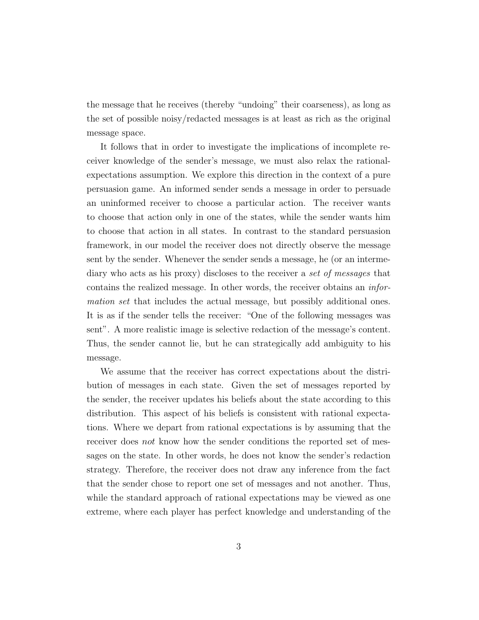the message that he receives (thereby "undoing" their coarseness), as long as the set of possible noisy/redacted messages is at least as rich as the original message space.

It follows that in order to investigate the implications of incomplete receiver knowledge of the sender's message, we must also relax the rationalexpectations assumption. We explore this direction in the context of a pure persuasion game. An informed sender sends a message in order to persuade an uninformed receiver to choose a particular action. The receiver wants to choose that action only in one of the states, while the sender wants him to choose that action in all states. In contrast to the standard persuasion framework, in our model the receiver does not directly observe the message sent by the sender. Whenever the sender sends a message, he (or an intermediary who acts as his proxy) discloses to the receiver a set of messages that contains the realized message. In other words, the receiver obtains an information set that includes the actual message, but possibly additional ones. It is as if the sender tells the receiver: "One of the following messages was sent". A more realistic image is selective redaction of the message's content. Thus, the sender cannot lie, but he can strategically add ambiguity to his message.

We assume that the receiver has correct expectations about the distribution of messages in each state. Given the set of messages reported by the sender, the receiver updates his beliefs about the state according to this distribution. This aspect of his beliefs is consistent with rational expectations. Where we depart from rational expectations is by assuming that the receiver does not know how the sender conditions the reported set of messages on the state. In other words, he does not know the sender's redaction strategy. Therefore, the receiver does not draw any inference from the fact that the sender chose to report one set of messages and not another. Thus, while the standard approach of rational expectations may be viewed as one extreme, where each player has perfect knowledge and understanding of the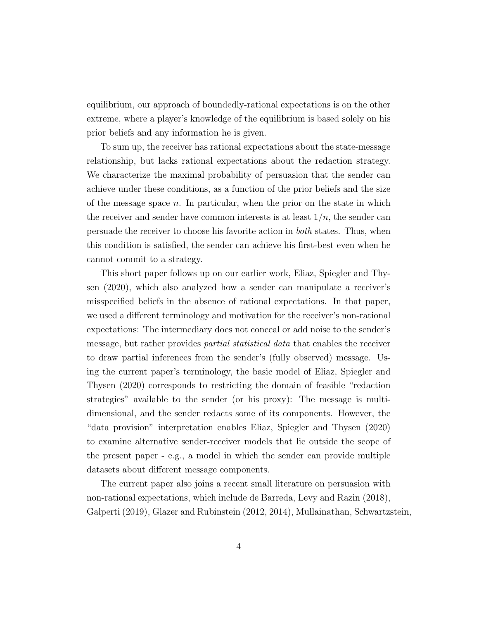equilibrium, our approach of boundedly-rational expectations is on the other extreme, where a player's knowledge of the equilibrium is based solely on his prior beliefs and any information he is given.

To sum up, the receiver has rational expectations about the state-message relationship, but lacks rational expectations about the redaction strategy. We characterize the maximal probability of persuasion that the sender can achieve under these conditions, as a function of the prior beliefs and the size of the message space  $n$ . In particular, when the prior on the state in which the receiver and sender have common interests is at least  $1/n$ , the sender can persuade the receiver to choose his favorite action in both states. Thus, when this condition is satisfied, the sender can achieve his first-best even when he cannot commit to a strategy.

This short paper follows up on our earlier work, Eliaz, Spiegler and Thysen (2020), which also analyzed how a sender can manipulate a receiver's misspecified beliefs in the absence of rational expectations. In that paper, we used a different terminology and motivation for the receiver's non-rational expectations: The intermediary does not conceal or add noise to the sender's message, but rather provides partial statistical data that enables the receiver to draw partial inferences from the sender's (fully observed) message. Using the current paper's terminology, the basic model of Eliaz, Spiegler and Thysen (2020) corresponds to restricting the domain of feasible "redaction strategies" available to the sender (or his proxy): The message is multidimensional, and the sender redacts some of its components. However, the "data provision" interpretation enables Eliaz, Spiegler and Thysen (2020) to examine alternative sender-receiver models that lie outside the scope of the present paper - e.g., a model in which the sender can provide multiple datasets about different message components.

The current paper also joins a recent small literature on persuasion with non-rational expectations, which include de Barreda, Levy and Razin (2018), Galperti (2019), Glazer and Rubinstein (2012, 2014), Mullainathan, Schwartzstein,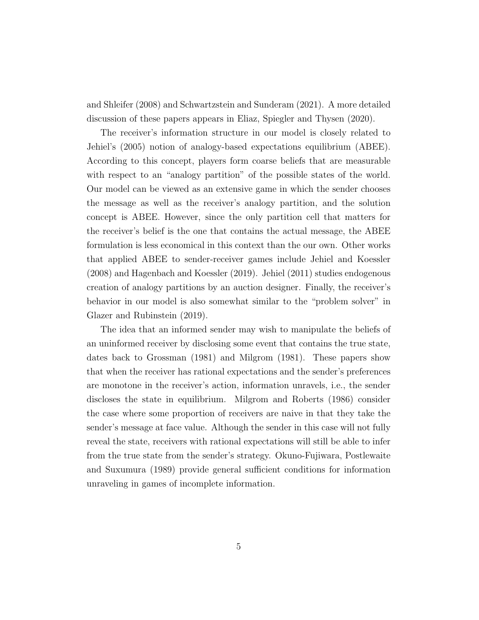and Shleifer (2008) and Schwartzstein and Sunderam (2021). A more detailed discussion of these papers appears in Eliaz, Spiegler and Thysen (2020).

The receiver's information structure in our model is closely related to Jehiel's (2005) notion of analogy-based expectations equilibrium (ABEE). According to this concept, players form coarse beliefs that are measurable with respect to an "analogy partition" of the possible states of the world. Our model can be viewed as an extensive game in which the sender chooses the message as well as the receiver's analogy partition, and the solution concept is ABEE. However, since the only partition cell that matters for the receiver's belief is the one that contains the actual message, the ABEE formulation is less economical in this context than the our own. Other works that applied ABEE to sender-receiver games include Jehiel and Koessler (2008) and Hagenbach and Koessler (2019). Jehiel (2011) studies endogenous creation of analogy partitions by an auction designer. Finally, the receiver's behavior in our model is also somewhat similar to the "problem solver" in Glazer and Rubinstein (2019).

The idea that an informed sender may wish to manipulate the beliefs of an uninformed receiver by disclosing some event that contains the true state, dates back to Grossman (1981) and Milgrom (1981). These papers show that when the receiver has rational expectations and the sender's preferences are monotone in the receiver's action, information unravels, i.e., the sender discloses the state in equilibrium. Milgrom and Roberts (1986) consider the case where some proportion of receivers are naive in that they take the sender's message at face value. Although the sender in this case will not fully reveal the state, receivers with rational expectations will still be able to infer from the true state from the sender's strategy. Okuno-Fujiwara, Postlewaite and Suxumura (1989) provide general sufficient conditions for information unraveling in games of incomplete information.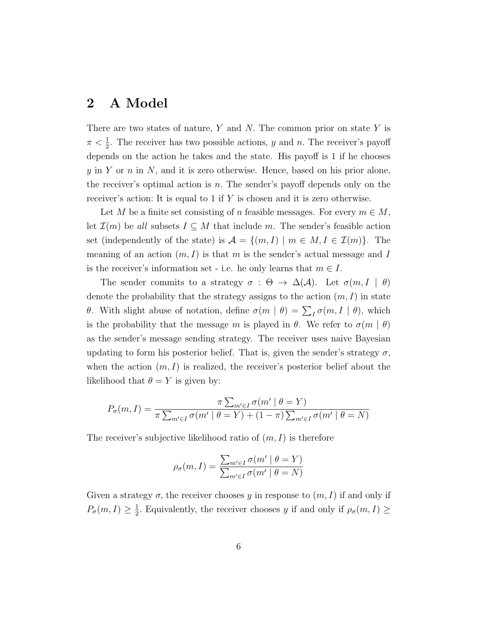### 2 A Model

There are two states of nature,  $Y$  and  $N$ . The common prior on state  $Y$  is  $\pi < \frac{1}{2}$ . The receiver has two possible actions, y and n. The receiver's payoff depends on the action he takes and the state. His payoff is 1 if he chooses y in Y or n in N, and it is zero otherwise. Hence, based on his prior alone, the receiver's optimal action is  $n$ . The sender's payoff depends only on the receiver's action: It is equal to 1 if  $Y$  is chosen and it is zero otherwise.

Let M be a finite set consisting of n feasible messages. For every  $m \in M$ , let  $\mathcal{I}(m)$  be all subsets  $I \subseteq M$  that include m. The sender's feasible action set (independently of the state) is  $\mathcal{A} = \{(m, I) \mid m \in M, I \in \mathcal{I}(m)\}.$  The meaning of an action  $(m, I)$  is that m is the sender's actual message and I is the receiver's information set - i.e. he only learns that  $m \in I$ .

The sender commits to a strategy  $\sigma : \Theta \to \Delta(\mathcal{A})$ . Let  $\sigma(m, I | \theta)$ denote the probability that the strategy assigns to the action  $(m, I)$  in state θ. With slight abuse of notation, define  $\sigma(m | \theta) = \sum_I \sigma(m, I | \theta)$ , which is the probability that the message m is played in  $\theta$ . We refer to  $\sigma(m \mid \theta)$ as the sender's message sending strategy. The receiver uses naive Bayesian updating to form his posterior belief. That is, given the sender's strategy  $\sigma$ , when the action  $(m, I)$  is realized, the receiver's posterior belief about the likelihood that  $\theta = Y$  is given by:

$$
P_{\sigma}(m, I) = \frac{\pi \sum_{m' \in I} \sigma(m' \mid \theta = Y)}{\pi \sum_{m' \in I} \sigma(m' \mid \theta = Y) + (1 - \pi) \sum_{m' \in I} \sigma(m' \mid \theta = N)}
$$

The receiver's subjective likelihood ratio of  $(m, I)$  is therefore

$$
\rho_{\sigma}(m, I) = \frac{\sum_{m' \in I} \sigma(m' \mid \theta = Y)}{\sum_{m' \in I} \sigma(m' \mid \theta = N)}
$$

Given a strategy  $\sigma$ , the receiver chooses y in response to  $(m, I)$  if and only if  $P_{\sigma}(m,I) \geq \frac{1}{2}$  $\frac{1}{2}$ . Equivalently, the receiver chooses y if and only if  $\rho_{\sigma}(m, I) \geq$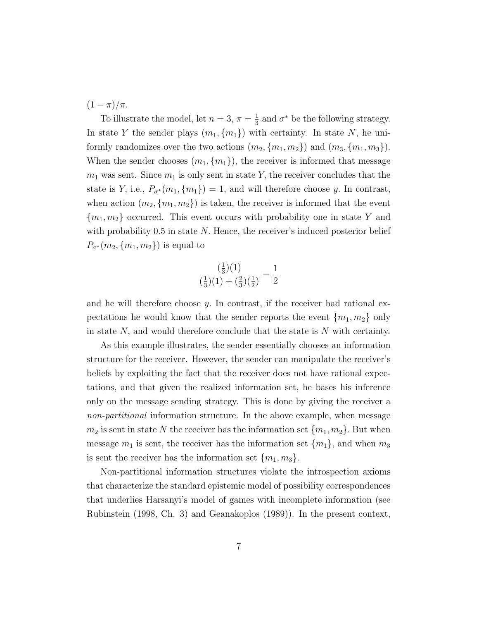$(1 - \pi)/\pi$ .

To illustrate the model, let  $n=3, \pi=\frac{1}{3}$  $\frac{1}{3}$  and  $\sigma^*$  be the following strategy. In state Y the sender plays  $(m_1, \{m_1\})$  with certainty. In state N, he uniformly randomizes over the two actions  $(m_2, \{m_1, m_2\})$  and  $(m_3, \{m_1, m_3\})$ . When the sender chooses  $(m_1, \{m_1\})$ , the receiver is informed that message  $m_1$  was sent. Since  $m_1$  is only sent in state Y, the receiver concludes that the state is Y, i.e.,  $P_{\sigma^*}(m_1, \{m_1\}) = 1$ , and will therefore choose y. In contrast, when action  $(m_2, \{m_1, m_2\})$  is taken, the receiver is informed that the event  ${m_1, m_2}$  occurred. This event occurs with probability one in state Y and with probability  $0.5$  in state N. Hence, the receiver's induced posterior belief  $P_{\sigma^*}(m_2, \{m_1, m_2\})$  is equal to

$$
\frac{\left(\frac{1}{3}\right)(1)}{\left(\frac{1}{3}\right)(1) + \left(\frac{2}{3}\right)\left(\frac{1}{2}\right)} = \frac{1}{2}
$$

and he will therefore choose  $y$ . In contrast, if the receiver had rational expectations he would know that the sender reports the event  ${m_1, m_2}$  only in state  $N$ , and would therefore conclude that the state is  $N$  with certainty.

As this example illustrates, the sender essentially chooses an information structure for the receiver. However, the sender can manipulate the receiver's beliefs by exploiting the fact that the receiver does not have rational expectations, and that given the realized information set, he bases his inference only on the message sending strategy. This is done by giving the receiver a non-partitional information structure. In the above example, when message  $m_2$  is sent in state N the receiver has the information set  $\{m_1, m_2\}$ . But when message  $m_1$  is sent, the receiver has the information set  $\{m_1\}$ , and when  $m_3$ is sent the receiver has the information set  $\{m_1, m_3\}.$ 

Non-partitional information structures violate the introspection axioms that characterize the standard epistemic model of possibility correspondences that underlies Harsanyi's model of games with incomplete information (see Rubinstein (1998, Ch. 3) and Geanakoplos (1989)). In the present context,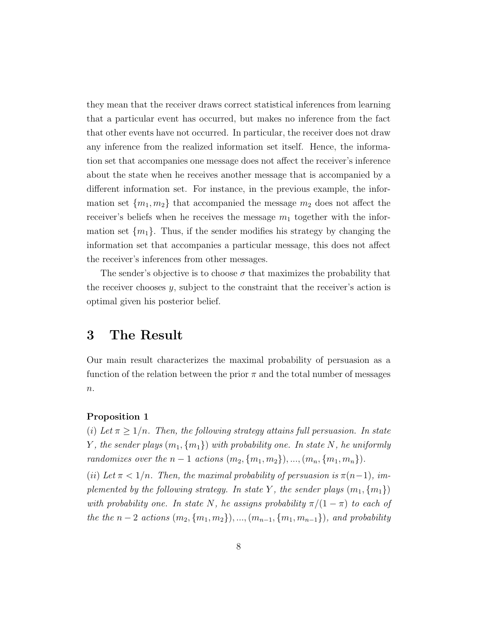they mean that the receiver draws correct statistical inferences from learning that a particular event has occurred, but makes no inference from the fact that other events have not occurred. In particular, the receiver does not draw any inference from the realized information set itself. Hence, the information set that accompanies one message does not affect the receiver's inference about the state when he receives another message that is accompanied by a different information set. For instance, in the previous example, the information set  ${m_1, m_2}$  that accompanied the message  $m_2$  does not affect the receiver's beliefs when he receives the message  $m_1$  together with the information set  $\{m_1\}$ . Thus, if the sender modifies his strategy by changing the information set that accompanies a particular message, this does not affect the receiver's inferences from other messages.

The sender's objective is to choose  $\sigma$  that maximizes the probability that the receiver chooses  $y$ , subject to the constraint that the receiver's action is optimal given his posterior belief.

# 3 The Result

Our main result characterizes the maximal probability of persuasion as a function of the relation between the prior  $\pi$  and the total number of messages  $n$ .

#### Proposition 1

(i) Let  $\pi \geq 1/n$ . Then, the following strategy attains full persuasion. In state Y, the sender plays  $(m_1, \{m_1\})$  with probability one. In state N, he uniformly randomizes over the  $n-1$  actions  $(m_2, \{m_1, m_2\}), ..., (m_n, \{m_1, m_n\}).$ 

(ii) Let  $\pi$  < 1/n. Then, the maximal probability of persuasion is  $\pi$ (n-1), implemented by the following strategy. In state Y, the sender plays  $(m_1, \{m_1\})$ with probability one. In state N, he assigns probability  $\pi/(1-\pi)$  to each of the the  $n-2$  actions  $(m_2, \{m_1, m_2\}), ..., (m_{n-1}, \{m_1, m_{n-1}\})$ , and probability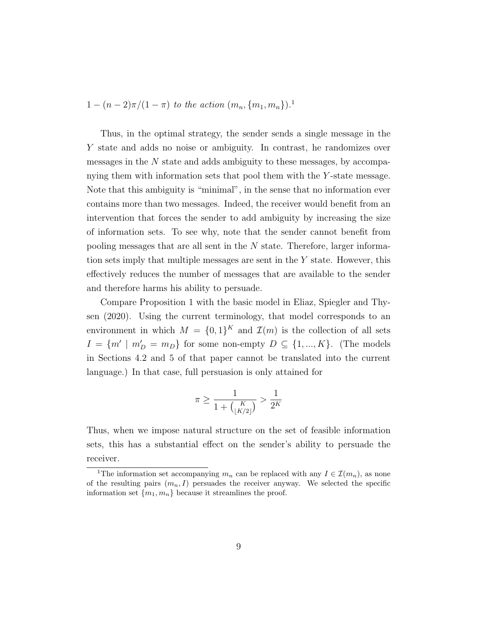$1 - (n-2)\pi/(1-\pi)$  to the action  $(m_n, \{m_1, m_n\})$ .

Thus, in the optimal strategy, the sender sends a single message in the Y state and adds no noise or ambiguity. In contrast, he randomizes over messages in the N state and adds ambiguity to these messages, by accompanying them with information sets that pool them with the Y -state message. Note that this ambiguity is "minimal", in the sense that no information ever contains more than two messages. Indeed, the receiver would benefit from an intervention that forces the sender to add ambiguity by increasing the size of information sets. To see why, note that the sender cannot benefit from pooling messages that are all sent in the N state. Therefore, larger information sets imply that multiple messages are sent in the  $Y$  state. However, this effectively reduces the number of messages that are available to the sender and therefore harms his ability to persuade.

Compare Proposition 1 with the basic model in Eliaz, Spiegler and Thysen (2020). Using the current terminology, that model corresponds to an environment in which  $M = \{0,1\}^K$  and  $\mathcal{I}(m)$  is the collection of all sets  $I = \{m' \mid m_D' = m_D\}$  for some non-empty  $D \subseteq \{1, ..., K\}$ . (The models in Sections 4.2 and 5 of that paper cannot be translated into the current language.) In that case, full persuasion is only attained for

$$
\pi \ge \frac{1}{1 + {K \choose \lfloor K/2 \rfloor}} > \frac{1}{2^K}
$$

Thus, when we impose natural structure on the set of feasible information sets, this has a substantial effect on the sender's ability to persuade the receiver.

<sup>&</sup>lt;sup>1</sup>The information set accompanying  $m_n$  can be replaced with any  $I \in \mathcal{I}(m_n)$ , as none of the resulting pairs  $(m_n, I)$  persuades the receiver anyway. We selected the specific information set  $\{m_1, m_n\}$  because it streamlines the proof.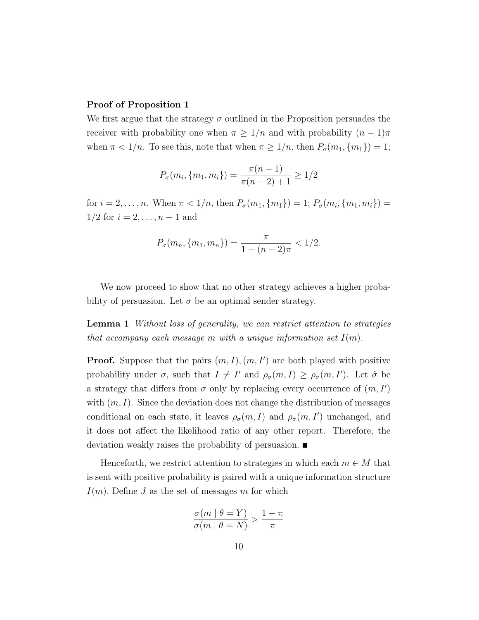### Proof of Proposition 1

We first argue that the strategy  $\sigma$  outlined in the Proposition persuades the receiver with probability one when  $\pi \geq 1/n$  and with probability  $(n-1)\pi$ when  $\pi < 1/n$ . To see this, note that when  $\pi \geq 1/n$ , then  $P_{\sigma}(m_1, \{m_1\}) = 1$ ;

$$
P_{\sigma}(m_i, \{m_1, m_i\}) = \frac{\pi(n-1)}{\pi(n-2)+1} \ge 1/2
$$

for  $i = 2, \ldots, n$ . When  $\pi < 1/n$ , then  $P_{\sigma}(m_1, \{m_1\}) = 1$ ;  $P_{\sigma}(m_i, \{m_1, m_i\}) =$  $1/2$  for  $i = 2, ..., n - 1$  and

$$
P_{\sigma}(m_n, \{m_1, m_n\}) = \frac{\pi}{1 - (n-2)\pi} < \frac{1}{2}.
$$

We now proceed to show that no other strategy achieves a higher probability of persuasion. Let  $\sigma$  be an optimal sender strategy.

Lemma 1 Without loss of generality, we can restrict attention to strategies that accompany each message m with a unique information set  $I(m)$ .

**Proof.** Suppose that the pairs  $(m, I), (m, I')$  are both played with positive probability under  $\sigma$ , such that  $I \neq I'$  and  $\rho_{\sigma}(m, I) \geq \rho_{\sigma}(m, I')$ . Let  $\hat{\sigma}$  be a strategy that differs from  $\sigma$  only by replacing every occurrence of  $(m, I')$ with  $(m, I)$ . Since the deviation does not change the distribution of messages conditional on each state, it leaves  $\rho_{\sigma}(m, I)$  and  $\rho_{\sigma}(m, I')$  unchanged, and it does not affect the likelihood ratio of any other report. Therefore, the deviation weakly raises the probability of persuasion.

Henceforth, we restrict attention to strategies in which each  $m \in M$  that is sent with positive probability is paired with a unique information structure  $I(m)$ . Define J as the set of messages m for which

$$
\frac{\sigma(m \mid \theta = Y)}{\sigma(m \mid \theta = N)} > \frac{1 - \pi}{\pi}
$$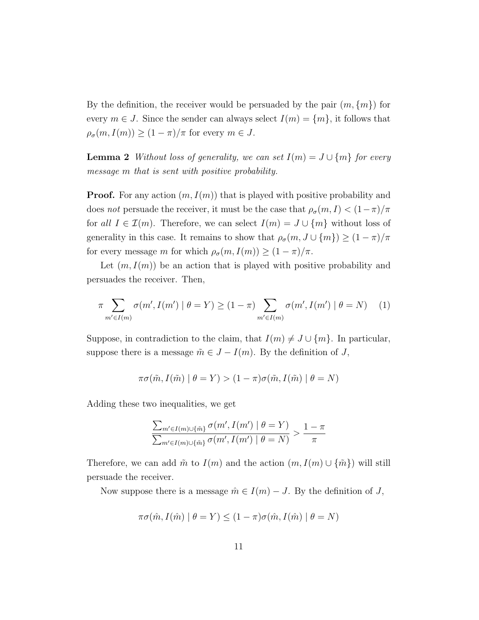By the definition, the receiver would be persuaded by the pair  $(m, \{m\})$  for every  $m \in J$ . Since the sender can always select  $I(m) = \{m\}$ , it follows that  $\rho_{\sigma}(m, I(m)) \ge (1 - \pi)/\pi$  for every  $m \in J$ .

**Lemma 2** Without loss of generality, we can set  $I(m) = J \cup \{m\}$  for every message m that is sent with positive probability.

**Proof.** For any action  $(m, I(m))$  that is played with positive probability and does not persuade the receiver, it must be the case that  $\rho_{\sigma}(m, I) < (1 - \pi)/\pi$ for all  $I \in \mathcal{I}(m)$ . Therefore, we can select  $I(m) = J \cup \{m\}$  without loss of generality in this case. It remains to show that  $\rho_\sigma(m,J\cup\{m\})\geq (1-\pi)/\pi$ for every message m for which  $\rho_{\sigma}(m, I(m)) \geq (1 - \pi)/\pi$ .

Let  $(m, I(m))$  be an action that is played with positive probability and persuades the receiver. Then,

$$
\pi \sum_{m' \in I(m)} \sigma(m', I(m') \mid \theta = Y) \ge (1 - \pi) \sum_{m' \in I(m)} \sigma(m', I(m') \mid \theta = N) \tag{1}
$$

Suppose, in contradiction to the claim, that  $I(m) \neq J \cup \{m\}$ . In particular, suppose there is a message  $\tilde{m} \in J - I(m)$ . By the definition of J,

$$
\pi\sigma(\tilde{m}, I(\tilde{m}) \mid \theta = Y) > (1 - \pi)\sigma(\tilde{m}, I(\tilde{m}) \mid \theta = N)
$$

Adding these two inequalities, we get

$$
\frac{\sum_{m' \in I(m) \cup \{\tilde{m}\}} \sigma(m', I(m') \mid \theta = Y)}{\sum_{m' \in I(m) \cup \{\tilde{m}\}} \sigma(m', I(m') \mid \theta = N)} > \frac{1 - \pi}{\pi}
$$

Therefore, we can add  $\tilde{m}$  to  $I(m)$  and the action  $(m, I(m) \cup {\tilde{m}})$  will still persuade the receiver.

Now suppose there is a message  $\hat{m} \in I(m) - J$ . By the definition of J,

$$
\pi \sigma(\hat{m}, I(\hat{m}) \mid \theta = Y) \le (1 - \pi) \sigma(\hat{m}, I(\hat{m}) \mid \theta = N)
$$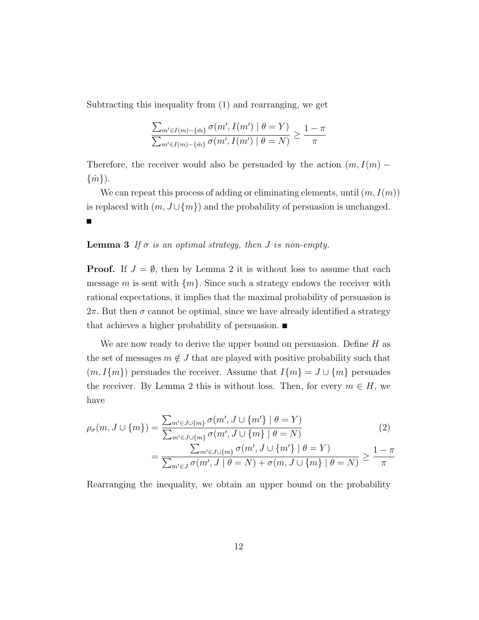Subtracting this inequality from (1) and rearranging, we get

$$
\frac{\sum_{m'\in I(m)-\{\hat{m}\}} \sigma(m', I(m') \mid \theta = Y)}{\sum_{m'\in I(m)-\{\hat{m}\}} \sigma(m', I(m') \mid \theta = N)} \ge \frac{1-\pi}{\pi}
$$

Therefore, the receiver would also be persuaded by the action  $(m, I(m) - )$  $\{\hat{m}\}\)$ .

We can repeat this process of adding or eliminating elements, until  $(m, I(m))$ is replaced with  $(m, J \cup \{m\})$  and the probability of persuasion is unchanged.

### **Lemma 3** If  $\sigma$  is an optimal strategy, then *J* is non-empty.

**Proof.** If  $J = \emptyset$ , then by Lemma 2 it is without loss to assume that each message m is sent with  $\{m\}$ . Since such a strategy endows the receiver with rational expectations, it implies that the maximal probability of persuasion is  $2\pi$ . But then  $\sigma$  cannot be optimal, since we have already identified a strategy that achieves a higher probability of persuasion.

We are now ready to derive the upper bound on persuasion. Define  $H$  as the set of messages  $m \notin J$  that are played with positive probability such that  $(m, I\{m\})$  persuades the receiver. Assume that  $I\{m\} = J \cup \{m\}$  persuades the receiver. By Lemma 2 this is without loss. Then, for every  $m \in H$ , we have

$$
\rho_{\sigma}(m, J \cup \{m\}) = \frac{\sum_{m' \in J \cup \{m\}} \sigma(m', J \cup \{m'\} \mid \theta = Y)}{\sum_{m' \in J \cup \{m\}} \sigma(m', J \cup \{m\} \mid \theta = N)}
$$
(2)

$$
= \frac{\sum_{m' \in J \cup \{m\}} \sigma(m', J \cup \{m'\} \mid \theta = Y)}{\sum_{m' \in J} \sigma(m', J \mid \theta = N) + \sigma(m, J \cup \{m\} \mid \theta = N)} \ge \frac{1 - \pi}{\pi}
$$

Rearranging the inequality, we obtain an upper bound on the probability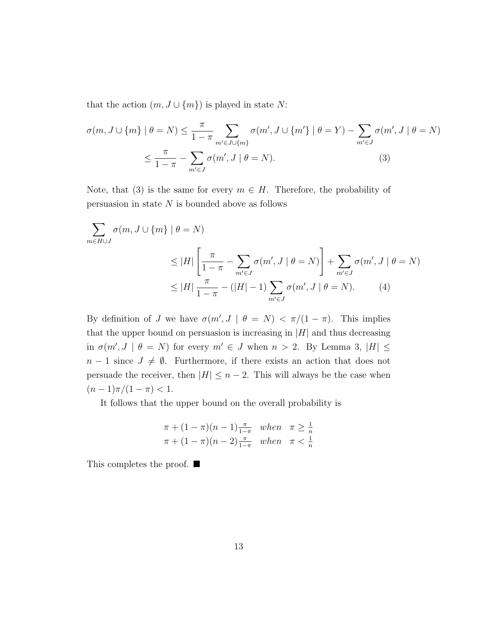that the action  $(m, J \cup \{m\})$  is played in state N:

$$
\sigma(m, J \cup \{m\} \mid \theta = N) \leq \frac{\pi}{1 - \pi} \sum_{m' \in J \cup \{m\}} \sigma(m', J \cup \{m'\} \mid \theta = Y) - \sum_{m' \in J} \sigma(m', J \mid \theta = N)
$$

$$
\leq \frac{\pi}{1 - \pi} - \sum_{m' \in J} \sigma(m', J \mid \theta = N). \tag{3}
$$

Note, that (3) is the same for every  $m \in H$ . Therefore, the probability of persuasion in state  $N$  is bounded above as follows

$$
\sum_{m \in H \cup J} \sigma(m, J \cup \{m\} \mid \theta = N)
$$
\n
$$
\leq |H| \left[ \frac{\pi}{1 - \pi} - \sum_{m' \in J} \sigma(m', J \mid \theta = N) \right] + \sum_{m' \in J} \sigma(m', J \mid \theta = N)
$$
\n
$$
\leq |H| \frac{\pi}{1 - \pi} - (|H| - 1) \sum_{m' \in J} \sigma(m', J \mid \theta = N). \tag{4}
$$

By definition of J we have  $\sigma(m', J \mid \theta = N) < \pi/(1 - \pi)$ . This implies that the upper bound on persuasion is increasing in  $|H|$  and thus decreasing in  $\sigma(m', J \mid \theta = N)$  for every  $m' \in J$  when  $n > 2$ . By Lemma 3,  $|H| \leq$  $n-1$  since  $J \neq \emptyset$ . Furthermore, if there exists an action that does not persuade the receiver, then  $|H| \leq n-2$ . This will always be the case when  $(n-1)\pi/(1-\pi) < 1.$ 

It follows that the upper bound on the overall probability is

$$
\pi + (1 - \pi)(n - 1) \frac{\pi}{1 - \pi} \quad when \quad \pi \ge \frac{1}{n}
$$
  

$$
\pi + (1 - \pi)(n - 2) \frac{\pi}{1 - \pi} \quad when \quad \pi < \frac{1}{n}
$$

This completes the proof. ■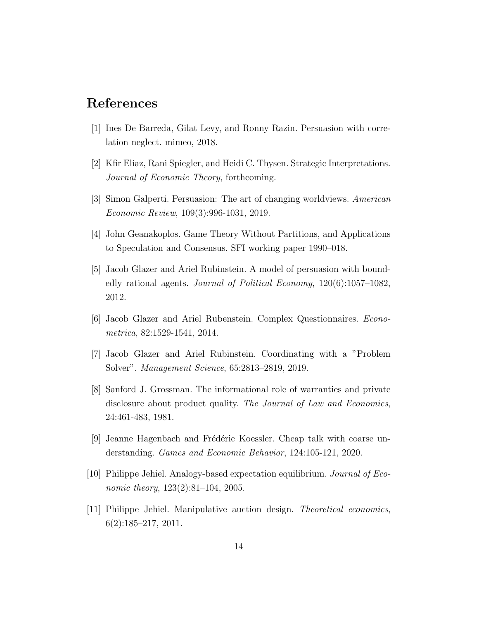## References

- [1] Ines De Barreda, Gilat Levy, and Ronny Razin. Persuasion with correlation neglect. mimeo, 2018.
- [2] Kfir Eliaz, Rani Spiegler, and Heidi C. Thysen. Strategic Interpretations. Journal of Economic Theory, forthcoming.
- [3] Simon Galperti. Persuasion: The art of changing worldviews. American Economic Review, 109(3):996-1031, 2019.
- [4] John Geanakoplos. Game Theory Without Partitions, and Applications to Speculation and Consensus. SFI working paper 1990–018.
- [5] Jacob Glazer and Ariel Rubinstein. A model of persuasion with boundedly rational agents. Journal of Political Economy, 120(6):1057–1082, 2012.
- [6] Jacob Glazer and Ariel Rubenstein. Complex Questionnaires. Econometrica, 82:1529-1541, 2014.
- [7] Jacob Glazer and Ariel Rubinstein. Coordinating with a "Problem Solver". Management Science, 65:2813–2819, 2019.
- [8] Sanford J. Grossman. The informational role of warranties and private disclosure about product quality. The Journal of Law and Economics, 24:461-483, 1981.
- [9] Jeanne Hagenbach and Frédéric Koessler. Cheap talk with coarse understanding. Games and Economic Behavior, 124:105-121, 2020.
- [10] Philippe Jehiel. Analogy-based expectation equilibrium. Journal of Economic theory,  $123(2):81-104$ ,  $2005$ .
- [11] Philippe Jehiel. Manipulative auction design. Theoretical economics, 6(2):185–217, 2011.